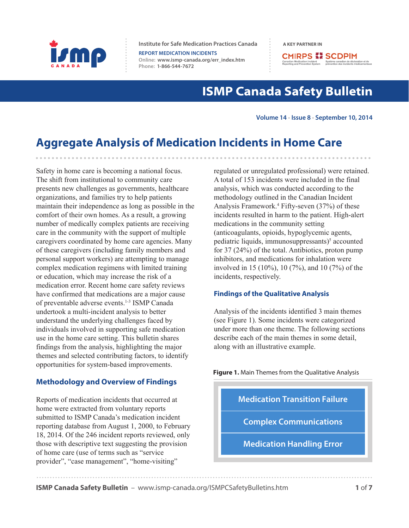

**Institute for Safe Medication Practices Canada A KEY PARTNER IN** 

**REPORT MEDICATION INCIDENTS Online:  [www.ismp-canada.org/err\\_index.htm](http://www.ismp-canada.org/err_index.htm)  Phone: 1-866-544-7672**

**CMIRPS ## SCDPIM** The Medication Incident<br>
Système canadien de déclaing and Prevention Système canadien de déclaing<br>
prévention des incidents me

# **ISMP Canada Safety Bulletin**

**Volume 14 • Issue 8 • September 10, 2014**

# **Aggregate Analysis of Medication Incidents in Home Care**

Safety in home care is becoming a national focus. The shift from institutional to community care presents new challenges as governments, healthcare organizations, and families try to help patients maintain their independence as long as possible in the comfort of their own homes. As a result, a growing number of medically complex patients are receiving care in the community with the support of multiple caregivers coordinated by home care agencies. Many of these caregivers (including family members and personal support workers) are attempting to manage complex medication regimens with limited training or education, which may increase the risk of a medication error. Recent home care safety reviews have confirmed that medications are a major cause of preventable adverse events.<sup>1-3</sup> ISMP Canada undertook a multi-incident analysis to better understand the underlying challenges faced by individuals involved in supporting safe medication use in the home care setting. This bulletin shares findings from the analysis, highlighting the major themes and selected contributing factors, to identify opportunities for system-based improvements.

# **Methodology and Overview of Findings**

Reports of medication incidents that occurred at home were extracted from voluntary reports submitted to ISMP Canada's medication incident reporting database from August 1, 2000, to February 18, 2014. Of the 246 incident reports reviewed, only those with descriptive text suggesting the provision of home care (use of terms such as "service provider", "case management", "home-visiting"

regulated or unregulated professional) were retained. A total of 153 incidents were included in the final analysis, which was conducted according to the methodology outlined in the Canadian Incident Analysis Framework.4 Fifty-seven (37%) of these incidents resulted in harm to the patient. High-alert medications in the community setting (anticoagulants, opioids, hypoglycemic agents, pediatric liquids, immunosuppressants)<sup>5</sup> accounted for 37 (24%) of the total. Antibiotics, proton pump inhibitors, and medications for inhalation were involved in 15 (10%), 10 (7%), and 10 (7%) of the incidents, respectively.

# **Findings of the Qualitative Analysis**

Analysis of the incidents identified 3 main themes (see Figure 1). Some incidents were categorized under more than one theme. The following sections describe each of the main themes in some detail, along with an illustrative example.

**Figure 1.** Main Themes from the Qualitative Analysis

**Medication Transition Failure Medication Handling Error Complex Communications**

**ISMP Canada Safety Bulletin** – [www.ismp-canada.org/ISMPCSafetyBulletins.htm](http://www.ismp-canada.org/ISMPCSafetyBulletins.htm) **1** of **7**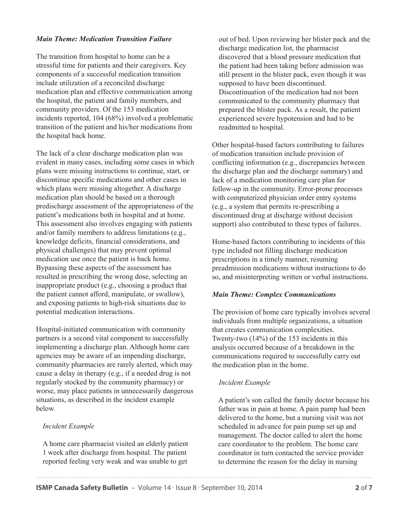# *Main Theme: Medication Transition Failure*

The transition from hospital to home can be a stressful time for patients and their caregivers. Key components of a successful medication transition include utilization of a reconciled discharge medication plan and effective communication among the hospital, the patient and family members, and community providers. Of the 153 medication incidents reported, 104 (68%) involved a problematic transition of the patient and his/her medications from the hospital back home.

The lack of a clear discharge medication plan was evident in many cases, including some cases in which plans were missing instructions to continue, start, or discontinue specific medications and other cases in which plans were missing altogether. A discharge medication plan should be based on a thorough predischarge assessment of the appropriateness of the patient's medications both in hospital and at home. This assessment also involves engaging with patients and/or family members to address limitations (e.g., knowledge deficits, financial considerations, and physical challenges) that may prevent optimal medication use once the patient is back home. Bypassing these aspects of the assessment has resulted in prescribing the wrong dose, selecting an inappropriate product (e.g., choosing a product that the patient cannot afford, manipulate, or swallow), and exposing patients to high-risk situations due to potential medication interactions.

Hospital-initiated communication with community partners is a second vital component to successfully implementing a discharge plan. Although home care agencies may be aware of an impending discharge, community pharmacies are rarely alerted, which may cause a delay in therapy (e.g., if a needed drug is not regularly stocked by the community pharmacy) or worse, may place patients in unnecessarily dangerous situations, as described in the incident example below.

## *Incident Example*

A home care pharmacist visited an elderly patient 1 week after discharge from hospital. The patient reported feeling very weak and was unable to get

out of bed. Upon reviewing her blister pack and the discharge medication list, the pharmacist discovered that a blood pressure medication that the patient had been taking before admission was still present in the blister pack, even though it was supposed to have been discontinued. Discontinuation of the medication had not been communicated to the community pharmacy that prepared the blister pack. As a result, the patient experienced severe hypotension and had to be readmitted to hospital.

Other hospital-based factors contributing to failures of medication transition include provision of conflicting information (e.g., discrepancies between the discharge plan and the discharge summary) and lack of a medication monitoring care plan for follow-up in the community. Error-prone processes with computerized physician order entry systems (e.g., a system that permits re-prescribing a discontinued drug at discharge without decision support) also contributed to these types of failures.

Home-based factors contributing to incidents of this type included not filling discharge medication prescriptions in a timely manner, resuming preadmission medications without instructions to do so, and misinterpreting written or verbal instructions.

### *Main Theme: Complex Communications*

The provision of home care typically involves several individuals from multiple organizations, a situation that creates communication complexities. Twenty-two (14%) of the 153 incidents in this analysis occurred because of a breakdown in the communications required to successfully carry out the medication plan in the home.

## *Incident Example*

A patient's son called the family doctor because his father was in pain at home. A pain pump had been delivered to the home, but a nursing visit was not scheduled in advance for pain pump set up and management. The doctor called to alert the home care coordinator to the problem. The home care coordinator in turn contacted the service provider to determine the reason for the delay in nursing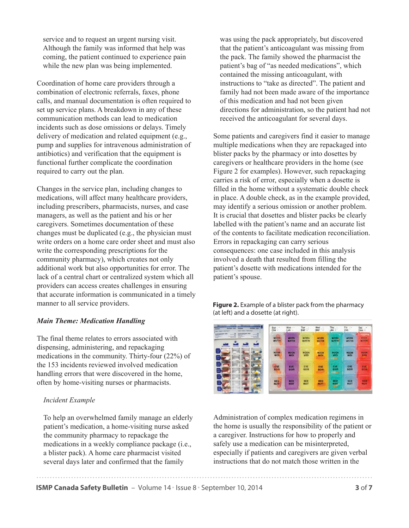service and to request an urgent nursing visit. Although the family was informed that help was coming, the patient continued to experience pain while the new plan was being implemented.

Coordination of home care providers through a combination of electronic referrals, faxes, phone calls, and manual documentation is often required to set up service plans. A breakdown in any of these communication methods can lead to medication incidents such as dose omissions or delays. Timely delivery of medication and related equipment (e.g., pump and supplies for intravenous administration of antibiotics) and verification that the equipment is functional further complicate the coordination required to carry out the plan.

Changes in the service plan, including changes to medications, will affect many healthcare providers, including prescribers, pharmacists, nurses, and case managers, as well as the patient and his or her caregivers. Sometimes documentation of these changes must be duplicated (e.g., the physician must write orders on a home care order sheet and must also write the corresponding prescriptions for the community pharmacy), which creates not only additional work but also opportunities for error. The lack of a central chart or centralized system which all providers can access creates challenges in ensuring that accurate information is communicated in a timely manner to all service providers.

# *Main Theme: Medication Handling*

The final theme relates to errors associated with dispensing, administering, and repackaging medications in the community. Thirty-four (22%) of the 153 incidents reviewed involved medication handling errors that were discovered in the home, often by home-visiting nurses or pharmacists.

### *Incident Example*

To help an overwhelmed family manage an elderly patient's medication, a home-visiting nurse asked the community pharmacy to repackage the medications in a weekly compliance package (i.e., a blister pack). A home care pharmacist visited several days later and confirmed that the family

was using the pack appropriately, but discovered that the patient's anticoagulant was missing from the pack. The family showed the pharmacist the patient's bag of "as needed medications", which contained the missing anticoagulant, with instructions to "take as directed". The patient and family had not been made aware of the importance of this medication and had not been given directions for administration, so the patient had not received the anticoagulant for several days.

Some patients and caregivers find it easier to manage multiple medications when they are repackaged into blister packs by the pharmacy or into dosettes by caregivers or healthcare providers in the home (see Figure 2 for examples). However, such repackaging carries a risk of error, especially when a dosette is filled in the home without a systematic double check in place. A double check, as in the example provided, may identify a serious omission or another problem. It is crucial that dosettes and blister packs be clearly labelled with the patient's name and an accurate list of the contents to facilitate medication reconciliation. Errors in repackaging can carry serious consequences: one case included in this analysis involved a death that resulted from filling the patient's dosette with medications intended for the patient's spouse.

**Figure 2.** Example of a blister pack from the pharmacy (at left) and a dosette (at right).



Administration of complex medication regimens in the home is usually the responsibility of the patient or a caregiver. Instructions for how to properly and safely use a medication can be misinterpreted, especially if patients and caregivers are given verbal instructions that do not match those written in the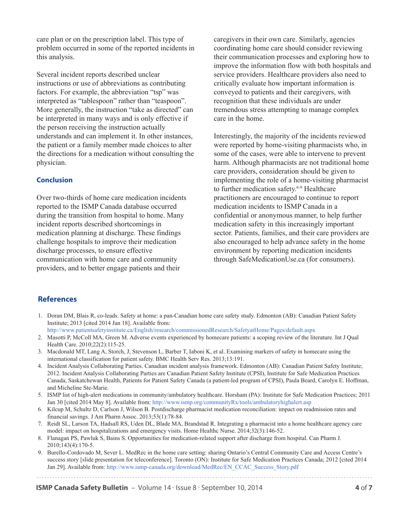care plan or on the prescription label. This type of problem occurred in some of the reported incidents in this analysis.

Several incident reports described unclear instructions or use of abbreviations as contributing factors. For example, the abbreviation "tsp" was interpreted as "tablespoon" rather than "teaspoon". More generally, the instruction "take as directed" can be interpreted in many ways and is only effective if the person receiving the instruction actually understands and can implement it. In other instances, the patient or a family member made choices to alter the directions for a medication without consulting the physician.

# **Conclusion**

Over two-thirds of home care medication incidents reported to the ISMP Canada database occurred during the transition from hospital to home. Many incident reports described shortcomings in medication planning at discharge. These findings challenge hospitals to improve their medication discharge processes, to ensure effective communication with home care and community providers, and to better engage patients and their

caregivers in their own care. Similarly, agencies coordinating home care should consider reviewing their communication processes and exploring how to improve the information flow with both hospitals and service providers. Healthcare providers also need to critically evaluate how important information is conveyed to patients and their caregivers, with recognition that these individuals are under tremendous stress attempting to manage complex care in the home.

Interestingly, the majority of the incidents reviewed were reported by home-visiting pharmacists who, in some of the cases, were able to intervene to prevent harm. Although pharmacists are not traditional home care providers, consideration should be given to implementing the role of a home-visiting pharmacist to further medication safety.<sup>6-9</sup> Healthcare practitioners are encouraged to continue to report medication incidents to ISMP Canada in a confidential or anonymous manner, to help further medication safety in this increasingly important sector. Patients, families, and their care providers are also encouraged to help advance safety in the home environment by reporting medication incidents through SafeMedicationUse.ca (for consumers).

# **References**

- 1. Doran DM, Blais R, co-leads. Safety at home: a pan-Canadian home care safety study. Edmonton (AB): Canadian Patient Safety Institute; 2013 [cited 2014 Jan 18]. Available from:
- <http://www.patientsafetyinstitute.ca/English/research/commissionedResearch/SafetyatHome/Pages/default.aspx>
- 2. Masotti P, McColl MA, Green M. Adverse events experienced by homecare patients: a scoping review of the literature. Int J Qual Health Care. 2010;22(2):115-25.
- 3. Macdonald MT, Lang A, Storch, J, Stevenson L, Barber T, Iaboni K, et al. Examining markers of safety in homecare using the international classification for patient safety. BMC Health Serv Res. 2013;13:191.
- 4. Incident Analysis Collaborating Parties. Canadian incident analysis framework. Edmonton (AB): Canadian Patient Safety Institute; 2012. Incident Analysis Collaborating Parties are Canadian Patient Safety Institute (CPSI), Institute for Safe Medication Practices Canada, Saskatchewan Health, Patients for Patient Safety Canada (a patient-led program of CPSI), Paula Beard, Carolyn E. Hoffman, and Micheline Ste-Marie.
- 5. ISMP list of high-alert medications in community/ambulatory healthcare. Horsham (PA): Institute for Safe Medication Practices; 2011 Jan 30 [cited 2014 May 8]. Available from[: http://www.ismp.org/communityRx/tools/ambulatoryhighalert.asp](http://www.ismp.org/communityRx/tools/ambulatoryhighalert.asp)
- 6. Kilcup M, Schultz D, Carlson J, Wilson B. Postdischarge pharmacist medication reconciliation: impact on readmission rates and financial savings. J Am Pharm Assoc. 2013;53(1):78-84.
- 7. Reidt SL, Larson TA, Hadsall RS, Uden DL, Blade MA, Brandstad R. Integrating a pharmacist into a home healthcare agency care model: impact on hospitalizations and emergency visits. Home Healthc Nurse. 2014;32(3):146-52.
- 8. Flanagan PS, Pawluk S, Bains S. Opportunities for medication-related support after discharge from hospital. Can Pharm J. 2010;143(4):170-5.
- 9. Burello-Cordovado M, Sever L. MedRec in the home care setting: sharing Ontario's Central Community Care and Access Centre's success story [slide presentation for teleconference]. Toronto (ON): Institute for Safe Medication Practices Canada; 2012 [cited 2014 Jan 29]. Available from[: http://www.ismp-canada.org/download/MedRec/EN\\_CCAC\\_Success\\_Story.pdf](http://www.ismp-canada.org/download/MedRec/EN_CCAC_Success_Story.pdf)

**ISMP Canada Safety Bulletin** – Volume 14 · Issue 8 · September 10, 2014 **4 0f 7**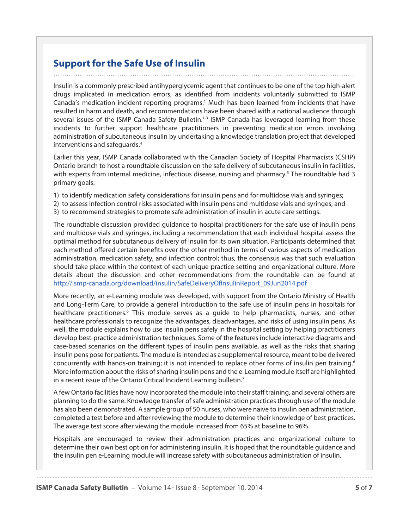# **Support for the Safe Use of Insulin**

Insulin is a commonly prescribed antihyperglycemic agent that continues to be one of the top high-alert drugs implicated in medication errors, as identified from incidents voluntarily submitted to ISMP Canada's medication incident reporting programs.<sup>1</sup> Much has been learned from incidents that have resulted in harm and death, and recommendations have been shared with a national audience through several issues of the ISMP Canada Safety Bulletin.<sup>1-3</sup> ISMP Canada has leveraged learning from these incidents to further support healthcare practitioners in preventing medication errors involving administration of subcutaneous insulin by undertaking a knowledge translation project that developed interventions and safeguards.<sup>4</sup>

Earlier this year, ISMP Canada collaborated with the Canadian Society of Hospital Pharmacists (CSHP) Ontario branch to host a roundtable discussion on the safe delivery of subcutaneous insulin in facilities, with experts from internal medicine, infectious disease, nursing and pharmacy.<sup>5</sup> The roundtable had 3 primary goals:

- 1) to identify medication safety considerations for insulin pens and for multidose vials and syringes;
- 2) to assess infection control risks associated with insulin pens and multidose vials and syringes; and
- 3) to recommend strategies to promote safe administration of insulin in acute care settings.

The roundtable discussion provided guidance to hospital practitioners for the safe use of insulin pens and multidose vials and syringes, including a recommendation that each individual hospital assess the optimal method for subcutaneous delivery of insulin for its own situation. Participants determined that each method offered certain benefits over the other method in terms of various aspects of medication administration, medication safety, and infection control; thus, the consensus was that such evaluation should take place within the context of each unique practice setting and organizational culture. More details about the discussion and other recommendations from the roundtable can be found at [http://ismp-canada.org/download/insulin/SafeDeliveryOfInsulinReport\\_09Jun2014.pdf](http://ismp-canada.org/download/insulin/SafeDeliveryOfInsulinReport_09Jun2014.pdf) 

More recently, an e-Learning module was developed, with support from the Ontario Ministry of Health and Long-Term Care, to provide a general introduction to the safe use of insulin pens in hospitals for healthcare practitioners.<sup>6</sup> This module serves as a guide to help pharmacists, nurses, and other healthcare professionals to recognize the advantages, disadvantages, and risks of using insulin pens. As well, the module explains how to use insulin pens safely in the hospital setting by helping practitioners develop best-practice administration techniques. Some of the features include interactive diagrams and case-based scenarios on the different types of insulin pens available, as well as the risks that sharing insulin pens pose for patients. The module is intended as a supplemental resource, meant to be delivered concurrently with hands-on training; it is not intended to replace other forms of insulin pen training.<sup>6</sup> More information about the risks of sharing insulin pens and the e-Learning module itself are highlighted in a recent issue of the Ontario Critical Incident Learning bulletin.7

A few Ontario facilities have now incorporated the module into their staff training, and several others are planning to do the same. Knowledge transfer of safe administration practices through use of the module has also been demonstrated. A sample group of 50 nurses, who were naive to insulin pen administration, completed a test before and after reviewing the module to determine their knowledge of best practices. The average test score after viewing the module increased from 65% at baseline to 96%.

Hospitals are encouraged to review their administration practices and organizational culture to determine their own best option for administering insulin. It is hoped that the roundtable guidance and the insulin pen e-Learning module will increase safety with subcutaneous administration of insulin.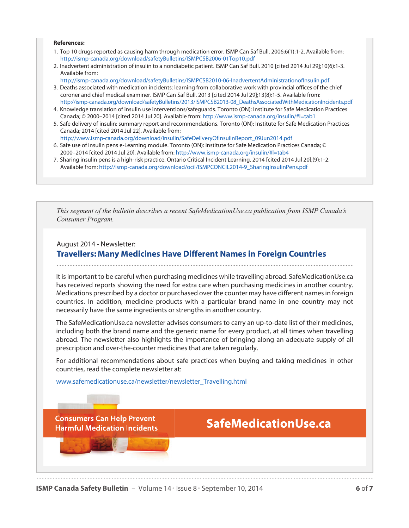### **References:**

- 1. Top 10 drugs reported as causing harm through medication error. ISMP Can Saf Bull. 2006;6(1):1-2. Available from: <http://ismp-canada.org/download/safetyBulletins/ISMPCSB2006-01Top10.pdf>
- 2. Inadvertent administration of insulin to a nondiabetic patient. ISMP Can Saf Bull. 2010 [cited 2014 Jul 29];10(6):1-3. Available from:
- <http://ismp-canada.org/download/safetyBulletins/ISMPCSB2010-06-InadvertentAdministrationofInsulin.pdf> 3. Deaths associated with medication incidents: learning from collaborative work with provincial offices of the chief coroner and chief medical examiner. ISMP Can Saf Bull. 2013 [cited 2014 Jul 29];13(8):1-5. Available from: [http://ismp-canada.org/download/safetyBulletins/2013/ISMPCSB2013-08\\_DeathsAssociatedWithMedicationIncidents.pdf](http://ismp-canada.org/download/safetyBulletins/2013/ISMPCSB2013-08_DeathsAssociatedWithMedicationIncidents.pdf)
- 4. Knowledge translation of insulin use interventions/safeguards. Toronto (ON): Institute for Safe Medication Practices Canada; © 2000–2014 [cited 2014 Jul 20]. Available from[: http://www.ismp-canada.org/insulin/#l=tab1](http://www.ismp-canada.org/insulin/#l=tab1)
- 5. Safe delivery of insulin: summary report and recommendations. Toronto (ON): Institute for Safe Medication Practices Canada; 2014 [cited 2014 Jul 22]. Available from: [http://www.ismp-canada.org/download/insulin/SafeDeliveryOfInsulinReport\\_09Jun2014.pdf](http://www.ismp-canada.org/download/insulin/SafeDeliveryOfInsulinReport_09Jun2014.pdf)
- 6. Safe use of insulin pens e-Learning module. Toronto (ON): Institute for Safe Medication Practices Canada; © 2000–2014 [cited 2014 Jul 20]. Available from[: http://www.ismp-canada.org/insulin/#l=tab4](http://www.ismp-canada.org/insulin/#l=tab4)
- 7. Sharing insulin pens is a high-risk practice. Ontario Critical Incident Learning. 2014 [cited 2014 Jul 20];(9):1-2. Available from[: http://ismp-canada.org/download/ocil/ISMPCONCIL2014-9\\_SharingInsulinPens.pdf](http://ismp-canada.org/download/ocil/ISMPCONCIL2014-9_SharingInsulinPens.pdf)

*This segment of the bulletin describes a recent SafeMedicationUse.ca publication from ISMP Canada's Consumer Program.*

August 2014 - Newsletter:

# **Travellers: Many Medicines Have Different Names in Foreign Countries**

It is important to be careful when purchasing medicines while travelling abroad. SafeMedicationUse.ca has received reports showing the need for extra care when purchasing medicines in another country. Medications prescribed by a doctor or purchased over the counter may have different names in foreign countries. In addition, medicine products with a particular brand name in one country may not necessarily have the same ingredients or strengths in another country.

The SafeMedicationUse.ca newsletter advises consumers to carry an up-to-date list of their medicines, including both the brand name and the generic name for every product, at all times when travelling abroad. The newsletter also highlights the importance of bringing along an adequate supply of all prescription and over-the-counter medicines that are taken regularly.

For additional recommendations about safe practices when buying and taking medicines in other countries, read the complete newsletter at:

[www.safemedicationuse.ca/newsletter/newsletter\\_Travelling.html](http://www.safemedicationuse.ca/newsletter/newsletter_Travelling.html)

# **Consumers Can Help Prevent Harmful Medication Incidents**

# SafeMedicationUse.ca